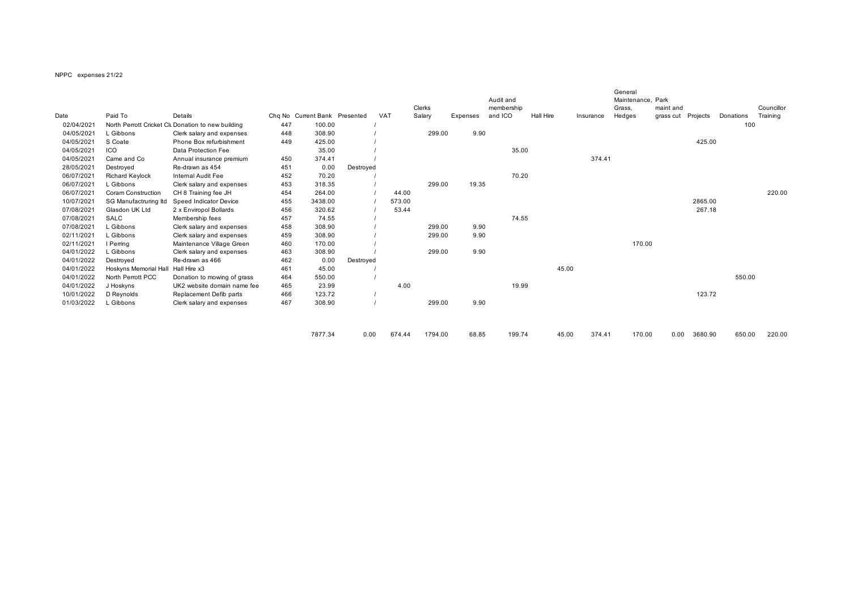## NPPC expenses 21/22

| Date       | Paid To               | Details                                            |     | Cha No Current Bank Presented |           | <b>VAT</b> | Clerks  |          | Audit and<br>membership<br>and ICO | <b>Hall Hire</b> |                 | General<br>Maintenance, Park<br>Grass, | maint and |          |           | Councillor<br>Training |
|------------|-----------------------|----------------------------------------------------|-----|-------------------------------|-----------|------------|---------|----------|------------------------------------|------------------|-----------------|----------------------------------------|-----------|----------|-----------|------------------------|
|            |                       |                                                    |     | 100.00                        |           |            | Salary  | Expenses |                                    |                  | Insurance       | Hedges                                 | grass cut | Projects | Donations |                        |
| 02/04/2021 |                       | North Perrott Cricket Clu Donation to new building | 447 |                               |           |            |         |          |                                    |                  |                 |                                        |           |          | 100       |                        |
| 04/05/2021 | L Gibbons             | Clerk salary and expenses                          | 448 | 308.90                        |           |            | 299.00  | 9.90     |                                    |                  |                 |                                        |           |          |           |                        |
| 04/05/2021 | S Coate               | Phone Box refurbishment                            | 449 | 425.00                        |           |            |         |          |                                    |                  |                 |                                        |           | 425.00   |           |                        |
| 04/05/2021 | ICO                   | Data Protection Fee                                |     | 35.00                         |           |            |         |          | 35.00                              |                  |                 |                                        |           |          |           |                        |
| 04/05/2021 | Came and Co           | Annual insurance premium                           | 450 | 374.41                        |           |            |         |          |                                    |                  | 374.41          |                                        |           |          |           |                        |
| 28/05/2021 | Destroyed             | Re-drawn as 454                                    | 451 | 0.00                          | Destroyed |            |         |          |                                    |                  |                 |                                        |           |          |           |                        |
| 06/07/2021 | Richard Keylock       | Internal Audit Fee                                 | 452 | 70.20                         |           |            |         |          | 70.20                              |                  |                 |                                        |           |          |           |                        |
| 06/07/2021 | L Gibbons             | Clerk salary and expenses                          | 453 | 318.35                        |           |            | 299.00  | 19.35    |                                    |                  |                 |                                        |           |          |           |                        |
| 06/07/2021 | Coram Construction    | CH 8 Training fee JH                               | 454 | 264.00                        |           | 44.00      |         |          |                                    |                  |                 |                                        |           |          |           | 220.00                 |
| 10/07/2021 | SG Manufactruring Itd | Speed Indicator Device                             | 455 | 3438.00                       |           | 573.00     |         |          |                                    |                  |                 |                                        |           | 2865.00  |           |                        |
| 07/08/2021 | Glasdon UK Ltd        | 2 x Enviropol Bollards                             | 456 | 320.62                        |           | 53.44      |         |          |                                    |                  |                 |                                        |           | 267.18   |           |                        |
| 07/08/2021 | <b>SALC</b>           | Membership fees                                    | 457 | 74.55                         |           |            |         |          | 74.55                              |                  |                 |                                        |           |          |           |                        |
| 07/08/2021 | L Gibbons             | Clerk salary and expenses                          | 458 | 308.90                        |           |            | 299.00  | 9.90     |                                    |                  |                 |                                        |           |          |           |                        |
| 02/11/2021 | L Gibbons             | Clerk salary and expenses                          | 459 | 308.90                        |           |            | 299.00  | 9.90     |                                    |                  |                 |                                        |           |          |           |                        |
| 02/11/2021 | I Perrina             | Maintenance Village Green                          | 460 | 170.00                        |           |            |         |          |                                    |                  |                 | 170.00                                 |           |          |           |                        |
| 04/01/2022 | L Gibbons             | Clerk salary and expenses                          | 463 | 308.90                        |           |            | 299.00  | 9.90     |                                    |                  |                 |                                        |           |          |           |                        |
| 04/01/2022 | Destroyed             | Re-drawn as 466                                    | 462 | 0.00                          | Destroyed |            |         |          |                                    |                  |                 |                                        |           |          |           |                        |
| 04/01/2022 | Hoskyns Memorial Ha   | Hall Hire x3                                       | 461 | 45.00                         |           |            |         |          |                                    | 45.00            |                 |                                        |           |          |           |                        |
| 04/01/2022 | North Perrott PCC     | Donation to mowing of grass                        | 464 | 550.00                        |           |            |         |          |                                    |                  |                 |                                        |           |          | 550.00    |                        |
| 04/01/2022 | J Hoskyns             | UK2 website domain name fee                        | 465 | 23.99                         |           | 4.00       |         |          | 19.99                              |                  |                 |                                        |           |          |           |                        |
| 10/01/2022 | D Reynolds            | Replacement Defib parts                            | 466 | 123.72                        |           |            |         |          |                                    |                  |                 |                                        |           | 123.72   |           |                        |
| 01/03/2022 | Gibbons               | Clerk salary and expenses                          | 467 | 308.90                        |           |            | 299.00  | 9.90     |                                    |                  |                 |                                        |           |          |           |                        |
|            |                       |                                                    |     | 7877.34                       | 0.00      | 674.44     | 1794.00 | 68.85    | 199.74                             |                  | 45.00<br>374.41 | 170.00                                 | 0.00      | 3680.90  | 650.00    | 220.00                 |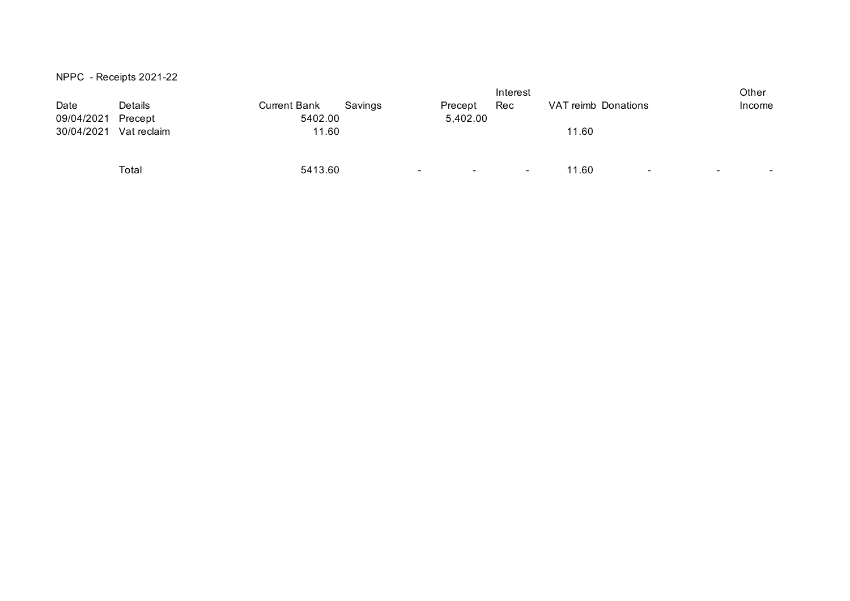|  | NPPC - Receipts 2021-22 |  |
|--|-------------------------|--|
|--|-------------------------|--|

|             |              |         |                             |                |                      |                |                     | Other          |
|-------------|--------------|---------|-----------------------------|----------------|----------------------|----------------|---------------------|----------------|
| Details     | Current Bank | Savings | Precept                     | Rec            |                      |                |                     | Income         |
| Precept     |              |         |                             |                |                      |                |                     |                |
| Vat reclaim |              |         |                             |                | 11.60                |                |                     |                |
|             |              |         |                             |                |                      |                |                     |                |
|             |              |         |                             |                |                      |                |                     |                |
| Total       |              |         | $\sim$<br>$\sim$            | $\blacksquare$ | 11.60                | $\blacksquare$ | $\blacksquare$      | $\blacksquare$ |
|             |              |         | 5402.00<br>11.60<br>5413.60 |                | Interest<br>5,402.00 |                | VAT reimb Donations |                |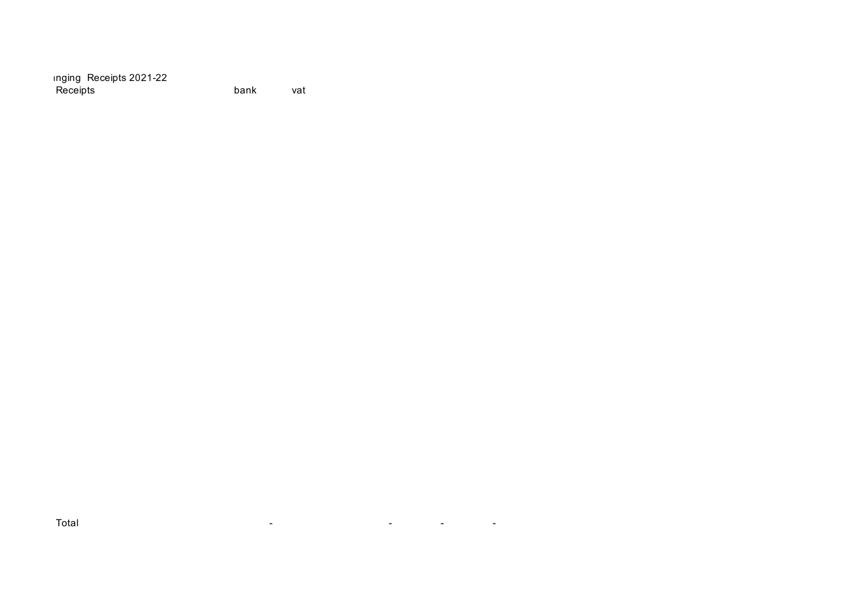Inging Receipts 2021-22 Receipts **bank** vat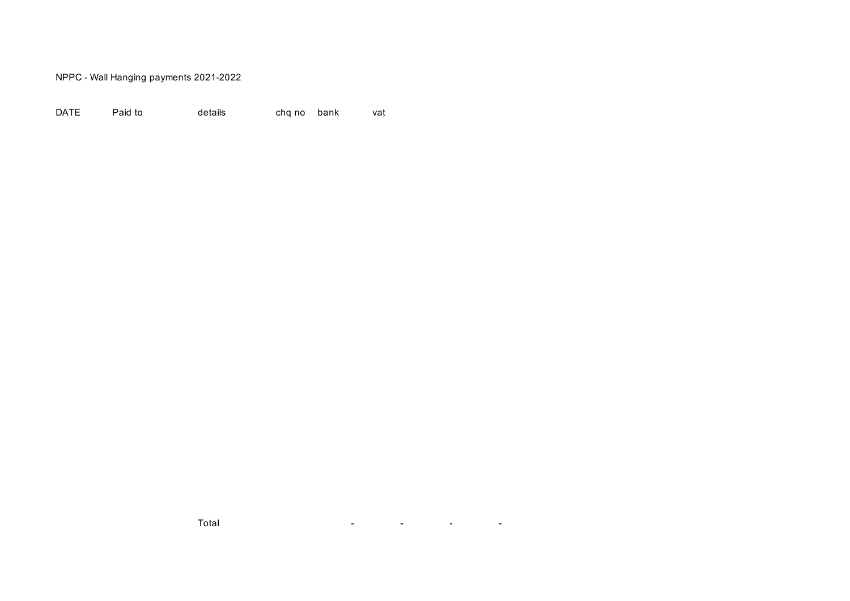NPPC - Wall Hanging payments 2021-2022

| <b>DATE</b> | Paid to | details | cha no bank |  | vat |
|-------------|---------|---------|-------------|--|-----|
|-------------|---------|---------|-------------|--|-----|